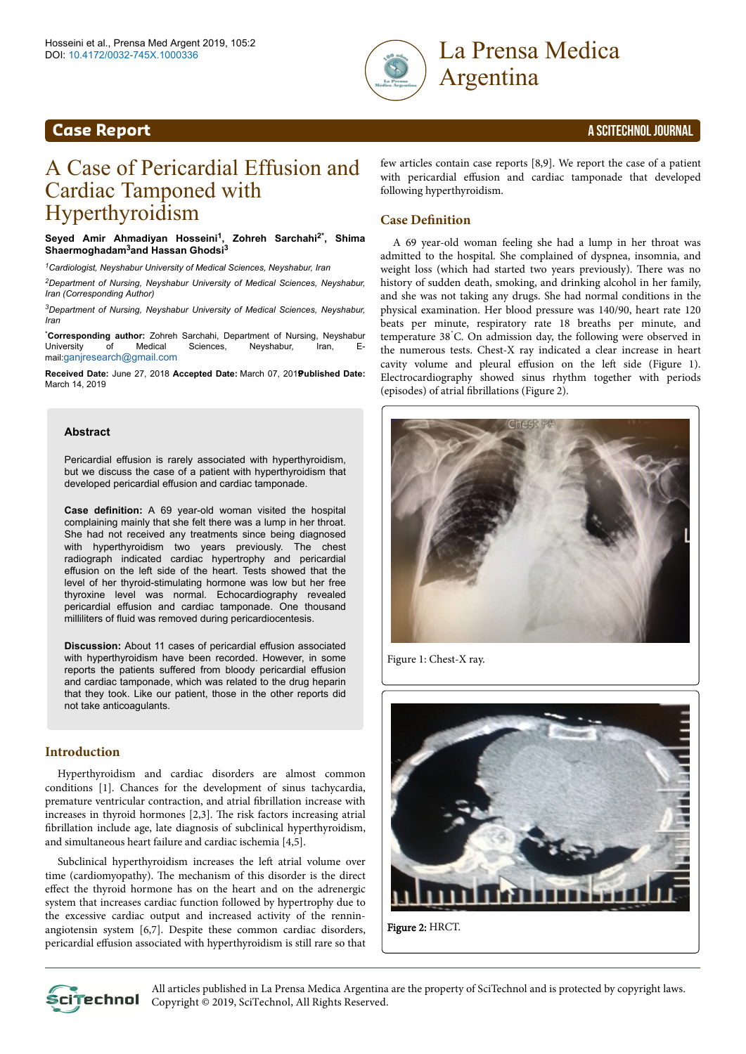



# A Case of Pericardial Effusion and Cardiac Tamponed with Hyperthyroidism

**Seyed Amir Ahmadiyan Hosseini<sup>1</sup> , Zohreh Sarchahi2\* , Shima Shaermoghadam3and Hassan Ghodsi<sup>3</sup>**

*<sup>1</sup>Cardiologist, Neyshabur University of Medical Sciences, Neyshabur, Iran*

*<sup>2</sup>Department of Nursing, Neyshabur University of Medical Sciences, Neyshabur, Iran (Corresponding Author)*

*<sup>3</sup>Department of Nursing, Neyshabur University of Medical Sciences, Neyshabur, Iran*

\***Corresponding author:** Zohreh Sarchahi, Department of Nursing, Neyshabur Neyshabur, Iran, Email:[ganjresearch@gmail.com](mailto:ganjresearch@gmail.com)

**Received Date:** June 27, 2018 **Accepted Date:** March 07, 2019 **Published Date:** March 14, 2019

#### **Abstract**

Pericardial effusion is rarely associated with hyperthyroidism, but we discuss the case of a patient with hyperthyroidism that developed pericardial effusion and cardiac tamponade.

**Case definition:** A 69 year-old woman visited the hospital complaining mainly that she felt there was a lump in her throat. She had not received any treatments since being diagnosed with hyperthyroidism two years previously. The chest radiograph indicated cardiac hypertrophy and pericardial effusion on the left side of the heart. Tests showed that the level of her thyroid-stimulating hormone was low but her free thyroxine level was normal. Echocardiography revealed pericardial effusion and cardiac tamponade. One thousand milliliters of fluid was removed during pericardiocentesis.

**Discussion:** About 11 cases of pericardial effusion associated with hyperthyroidism have been recorded. However, in some reports the patients suffered from bloody pericardial effusion and cardiac tamponade, which was related to the drug heparin that they took. Like our patient, those in the other reports did not take anticoagulants.

### **Introduction**

Hyperthyroidism and cardiac disorders are almost common conditions [1]. Chances for the development of sinus tachycardia, premature ventricular contraction, and atrial fibrillation increase with increases in thyroid hormones [2,3]. Нe risk factors increasing atrial fibrillation include age, late diagnosis of subclinical hyperthyroidism, and simultaneous heart failure and cardiac ischemia [4,5].

Subclinical hyperthyroidism increases the left atrial volume over time (cardiomyopathy). Нe mechanism of this disorder is the direct effect the thyroid hormone has on the heart and on the adrenergic system that increases cardiac function followed by hypertrophy due to the excessive cardiac output and increased activity of the renninangiotensin system [6,7]. Despite these common cardiac disorders, pericardial effusion associated with hyperthyroidism is still rare so that few articles contain case reports [8,9]. We report the case of a patient with pericardial effusion and cardiac tamponade that developed following hyperthyroidism.

#### **Case Definition**

A 69 year-old woman feeling she had a lump in her throat was admitted to the hospital. She complained of dyspnea, insomnia, and weight loss (which had started two years previously). Нere was no history of sudden death, smoking, and drinking alcohol in her family, and she was not taking any drugs. She had normal conditions in the physical examination. Her blood pressure was 140/90, heart rate 120 beats per minute, respiratory rate 18 breaths per minute, and temperature 38˚C. On admission day, the following were observed in the numerous tests. Chest-X ray indicated a clear increase in heart cavity volume and pleural effusion on the left side (Figure 1). Electrocardiography showed sinus rhythm together with periods (episodes) of atrial fibrillations (Figure 2).



Figure 1: Chest-X ray.



All articles published in La Prensa Medica Argentina are the property of SciTechnol and is protected by copyright laws. **CLITECHNOL** Copyright © 2019, SciTechnol, All Rights Reserved.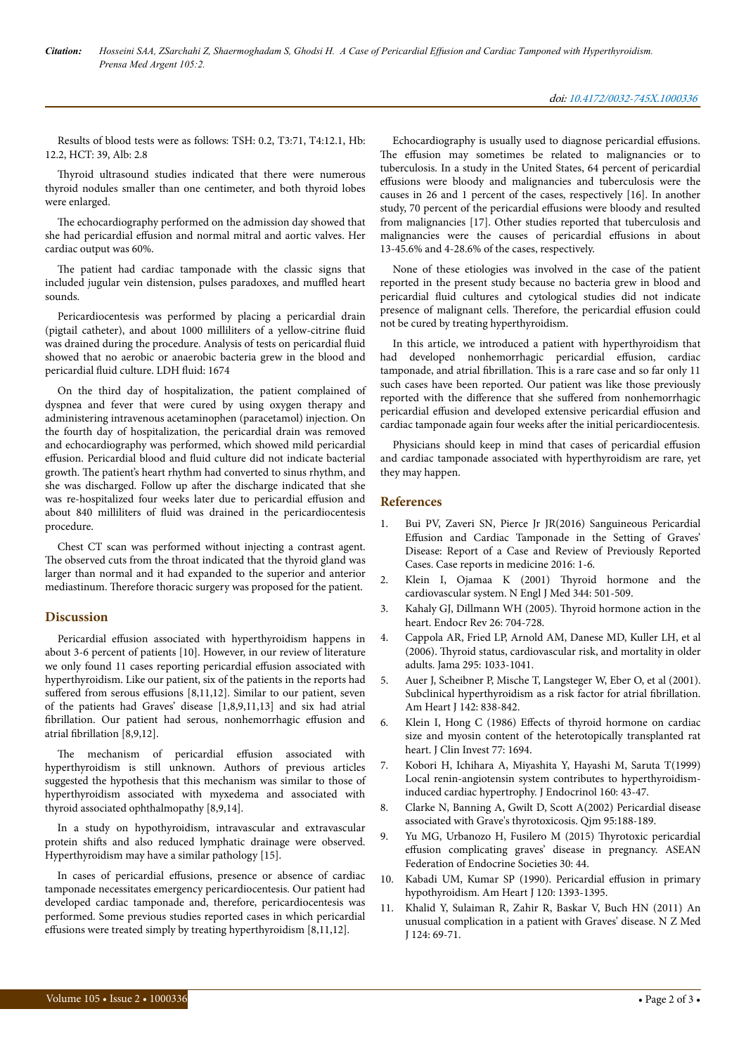Results of blood tests were as follows: TSH: 0.2, T3:71, T4:12.1, Hb: 12.2, HCT: 39, Alb: 2.8

Нyroid ultrasound studies indicated that there were numerous thyroid nodules smaller than one centimeter, and both thyroid lobes were enlarged.

The echocardiography performed on the admission day showed that she had pericardial effusion and normal mitral and aortic valves. Her cardiac output was 60%.

The patient had cardiac tamponade with the classic signs that included jugular vein distension, pulses paradoxes, and muffled heart sounds.

Pericardiocentesis was performed by placing a pericardial drain (pigtail catheter), and about 1000 milliliters of a yellow-citrine fluid was drained during the procedure. Analysis of tests on pericardial fluid showed that no aerobic or anaerobic bacteria grew in the blood and pericardial fluid culture. LDH fluid: 1674

On the third day of hospitalization, the patient complained of dyspnea and fever that were cured by using oxygen therapy and administering intravenous acetaminophen (paracetamol) injection. On the fourth day of hospitalization, the pericardial drain was removed and echocardiography was performed, which showed mild pericardial effusion. Pericardial blood and fluid culture did not indicate bacterial growth. Нe patient's heart rhythm had converted to sinus rhythm, and she was discharged. Follow up after the discharge indicated that she was re-hospitalized four weeks later due to pericardial effusion and about 840 milliliters of fluid was drained in the pericardiocentesis procedure.

Chest CT scan was performed without injecting a contrast agent. The observed cuts from the throat indicated that the thyroid gland was larger than normal and it had expanded to the superior and anterior mediastinum. Нerefore thoracic surgery was proposed for the patient.

# **Discussion**

Pericardial effusion associated with hyperthyroidism happens in about 3-6 percent of patients [10]. However, in our review of literature we only found 11 cases reporting pericardial effusion associated with hyperthyroidism. Like our patient, six of the patients in the reports had suffered from serous effusions [8,11,12]. Similar to our patient, seven of the patients had Graves' disease [1,8,9,11,13] and six had atrial fibrillation. Our patient had serous, nonhemorrhagic effusion and atrial fibrillation [8,9,12].

The mechanism of pericardial effusion associated with hyperthyroidism is still unknown. Authors of previous articles suggested the hypothesis that this mechanism was similar to those of hyperthyroidism associated with myxedema and associated with thyroid associated ophthalmopathy [8,9,14].

In a study on hypothyroidism, intravascular and extravascular protein shifts and also reduced lymphatic drainage were observed. Hyperthyroidism may have a similar pathology [15].

In cases of pericardial effusions, presence or absence of cardiac tamponade necessitates emergency pericardiocentesis. Our patient had developed cardiac tamponade and, therefore, pericardiocentesis was performed. Some previous studies reported cases in which pericardial effusions were treated simply by treating hyperthyroidism  $[8,11,12]$ .

Echocardiography is usually used to diagnose pericardial effusions. The effusion may sometimes be related to malignancies or to tuberculosis. In a study in the United States, 64 percent of pericardial effusions were bloody and malignancies and tuberculosis were the causes in 26 and 1 percent of the cases, respectively [16]. In another study, 70 percent of the pericardial effusions were bloody and resulted from malignancies [17]. Other studies reported that tuberculosis and malignancies were the causes of pericardial effusions in about 13-45.6% and 4-28.6% of the cases, respectively.

None of these etiologies was involved in the case of the patient reported in the present study because no bacteria grew in blood and pericardial fluid cultures and cytological studies did not indicate presence of malignant cells. Therefore, the pericardial effusion could not be cured by treating hyperthyroidism.

In this article, we introduced a patient with hyperthyroidism that had developed nonhemorrhagic pericardial effusion, cardiac tamponade, and atrial fibrillation. This is a rare case and so far only 11 such cases have been reported. Our patient was like those previously reported with the difference that she suffered from nonhemorrhagic pericardial effusion and developed extensive pericardial effusion and cardiac tamponade again four weeks after the initial pericardiocentesis.

Physicians should keep in mind that cases of pericardial effusion and cardiac tamponade associated with hyperthyroidism are rare, yet they may happen.

## **References**

- 1. Bui PV, Zaveri SN, Pierce Jr JR(2016) Sanguineous Pericardial Effusion and Cardiac Tamponade in the Setting of Graves' Disease: Report of a Case and Review of Previously Reported Cases. Case reports in medicine 2016: 1-6.
- 2. [Klein I, Ojamaa K \(2001\)](https://www.nejm.org/doi/full/10.1056/nejm200102153440707) Нyroid hormone and the [cardiovascular system. N Engl J Med 344: 501-509.](https://www.nejm.org/doi/full/10.1056/nejm200102153440707)
- 3. [Kahaly GJ, Dillmann WH \(2005\).](https://academic.oup.com/edrv/article/26/5/704/2355198) Нyroid hormone action in the [heart. Endocr Rev 26: 704-728.](https://academic.oup.com/edrv/article/26/5/704/2355198)
- 4. [Cappola AR, Fried LP, Arnold AM, Danese MD, Kuller LH, et al](https://jamanetwork.com/journals/jama/fullarticle/202464) (2006). Нyroid [status, cardiovascular risk, and mortality in older](https://jamanetwork.com/journals/jama/fullarticle/202464) [adults. Jama 295: 1033-1041.](https://jamanetwork.com/journals/jama/fullarticle/202464)
- 5. [Auer J, Scheibner P, Mische T, Langsteger W, Eber O, et al \(2001\).](https://www.sciencedirect.com/science/article/pii/S0002870301888098) [Subclinical hyperthyroidism as a risk factor for atrial](https://www.sciencedirect.com/science/article/pii/S0002870301888098) fibrillation. [Am Heart J 142: 838-842.](https://www.sciencedirect.com/science/article/pii/S0002870301888098)
- 6. Klein I, Hong C (1986) Effects [of thyroid hormone on cardiac](https://www.researchgate.net/publication/20217363_Effects_of_thyroid_hormone_on_cardiac_size_and_myosin_content_of_the_heterotopically_transplanted_rat_heart) [size and myosin content of the heterotopically transplanted rat](https://www.researchgate.net/publication/20217363_Effects_of_thyroid_hormone_on_cardiac_size_and_myosin_content_of_the_heterotopically_transplanted_rat_heart) [heart. J Clin Invest 77: 1694.](https://www.researchgate.net/publication/20217363_Effects_of_thyroid_hormone_on_cardiac_size_and_myosin_content_of_the_heterotopically_transplanted_rat_heart)
- 7. [Kobori H, Ichihara A, Miyashita Y, Hayashi M, Saruta T\(1999\)](https://www.ncbi.nlm.nih.gov/pubmed/9854175) [Local renin-angiotensin system contributes to hyperthyroidism](https://www.ncbi.nlm.nih.gov/pubmed/9854175)[induced cardiac hypertrophy. J Endocrinol 160: 43-47.](https://www.ncbi.nlm.nih.gov/pubmed/9854175)
- 8. [Clarke N, Banning A, Gwilt D, Scott A\(2002\) Pericardial disease](https://academic.oup.com/qjmed/article/95/3/188/1548368) [associated with Grave's thyrotoxicosis. Qjm 95:188-189.](https://academic.oup.com/qjmed/article/95/3/188/1548368)
- [Yu MG, Urbanozo H, Fusilero M \(2015\)](http://www.asean-endocrinejournal.org/index.php/JAFES/article/view/177/601) Thyrotoxic pericardial effusion [complicating graves' disease in pregnancy. ASEAN](http://www.asean-endocrinejournal.org/index.php/JAFES/article/view/177/601) [Federation of Endocrine Societies 30: 44.](http://www.asean-endocrinejournal.org/index.php/JAFES/article/view/177/601)
- Kabadi UM, Kumar SP (1990). Pericardial effusion in primary [hypothyroidism. Am Heart J 120: 1393-1395.](https://www.researchgate.net/publication/20908255_Pericardial_effusion_in_primary_hypothyroidism)
- 11. [Khalid Y, Sulaiman R, Zahir R, Baskar V, Buch HN \(2011\) An](https://www.nzma.org.nz/journal/read-the-journal/all-issues/2010-2019/2011/vol-124-no-1341/cc-khalid) [unusual complication in a patient with Graves' disease. N Z Med](https://www.nzma.org.nz/journal/read-the-journal/all-issues/2010-2019/2011/vol-124-no-1341/cc-khalid) [J 124: 69-71.](https://www.nzma.org.nz/journal/read-the-journal/all-issues/2010-2019/2011/vol-124-no-1341/cc-khalid)